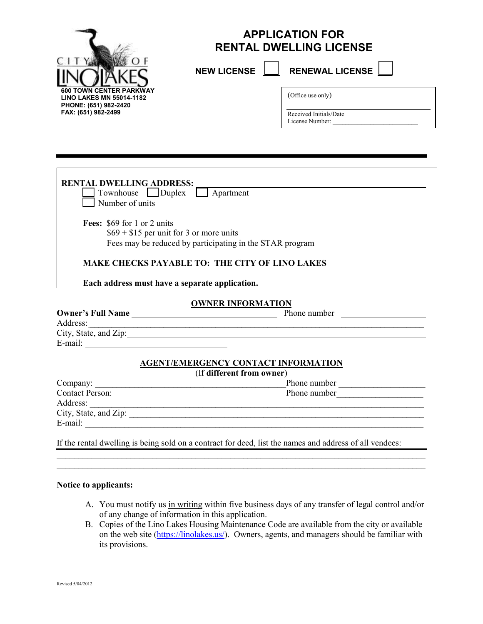

## **APPLICATION FOR RENTAL DWELLING LICENSE**

**NEW LICENSE | RENEWAL LICENSE** 

(Office use only)

Received Initials/Date License Number:

**RENTAL DWELLING ADDRESS:** Townhouse Duplex **Apartment** Number of units **Fees:** \$69 for 1 or 2 units  $$69 + $15$  per unit for 3 or more units Fees may be reduced by participating in the STAR program  **MAKE CHECKS PAYABLE TO: THE CITY OF LINO LAKES Each address must have a separate application. OWNER INFORMATION Owner's Full Name** <u>Phone number</u> Phone number Address: City, State, and Zip: E-mail: **AGENT/EMERGENCY CONTACT INFORMATION**  (I**f different from owner**) Company: \_\_\_\_\_\_\_\_\_\_\_\_\_\_\_\_\_\_\_\_\_\_\_\_\_\_\_\_\_\_\_\_\_\_\_\_\_\_\_\_\_\_\_\_Phone number \_\_\_\_\_\_\_\_\_\_\_\_\_\_\_\_\_\_\_\_ Contact Person: <u>Phone number</u> Address:  $City, State, and Zip:$  $E$ -mail:

If the rental dwelling is being sold on a contract for deed, list the names and address of all vendees:

 $\mathcal{L}_\text{max}$  and  $\mathcal{L}_\text{max}$  and  $\mathcal{L}_\text{max}$  and  $\mathcal{L}_\text{max}$  and  $\mathcal{L}_\text{max}$  and  $\mathcal{L}_\text{max}$ \_\_\_\_\_\_\_\_\_\_\_\_\_\_\_\_\_\_\_\_\_\_\_\_\_\_\_\_\_\_\_\_\_\_\_\_\_\_\_\_\_\_\_\_\_\_\_\_\_\_\_\_\_\_\_\_\_\_\_\_\_\_\_\_\_\_\_\_\_\_\_\_\_\_\_\_\_\_\_\_\_\_\_\_\_

### **Notice to applicants:**

- A. You must notify us in writing within five business days of any transfer of legal control and/or of any change of information in this application.
- B. Copies of the Lino Lakes Housing Maintenance Code are available from the city or available on the web site (https://linolakes.us/). Owners, agents, and managers should be familiar with its provisions.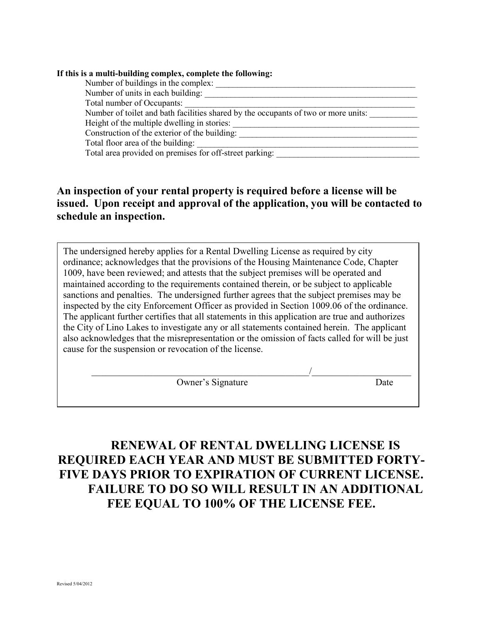| Number of buildings in the complex:           |                                                                                    |
|-----------------------------------------------|------------------------------------------------------------------------------------|
| Number of units in each building:             |                                                                                    |
| Total number of Occupants:                    |                                                                                    |
|                                               | Number of toilet and bath facilities shared by the occupants of two or more units: |
| Height of the multiple dwelling in stories:   |                                                                                    |
| Construction of the exterior of the building: |                                                                                    |
| Total floor area of the building:             |                                                                                    |
|                                               | Total area provided on premises for off-street parking:                            |

### **An inspection of your rental property is required before a license will be issued. Upon receipt and approval of the application, you will be contacted to schedule an inspection.**

1009, have been reviewed; and attests that the subject premises will be operated and The undersigned hereby applies for a Rental Dwelling License as required by city ordinance; acknowledges that the provisions of the Housing Maintenance Code, Chapter maintained according to the requirements contained therein, or be subject to applicable sanctions and penalties. The undersigned further agrees that the subject premises may be inspected by the city Enforcement Officer as provided in Section 1009.06 of the ordinance. The applicant further certifies that all statements in this application are true and authorizes the City of Lino Lakes to investigate any or all statements contained herein. The applicant also acknowledges that the misrepresentation or the omission of facts called for will be just cause for the suspension or revocation of the license.

 $\overline{\phantom{a}}$  , and the contract of the contract of the contract of the contract of the contract of the contract of the contract of the contract of the contract of the contract of the contract of the contract of the contrac

Owner's Signature Date

# **RENEWAL OF RENTAL DWELLING LICENSE IS REQUIRED EACH YEAR AND MUST BE SUBMITTED FORTY-FIVE DAYS PRIOR TO EXPIRATION OF CURRENT LICENSE. FAILURE TO DO SO WILL RESULT IN AN ADDITIONAL FEE EQUAL TO 100% OF THE LICENSE FEE.**